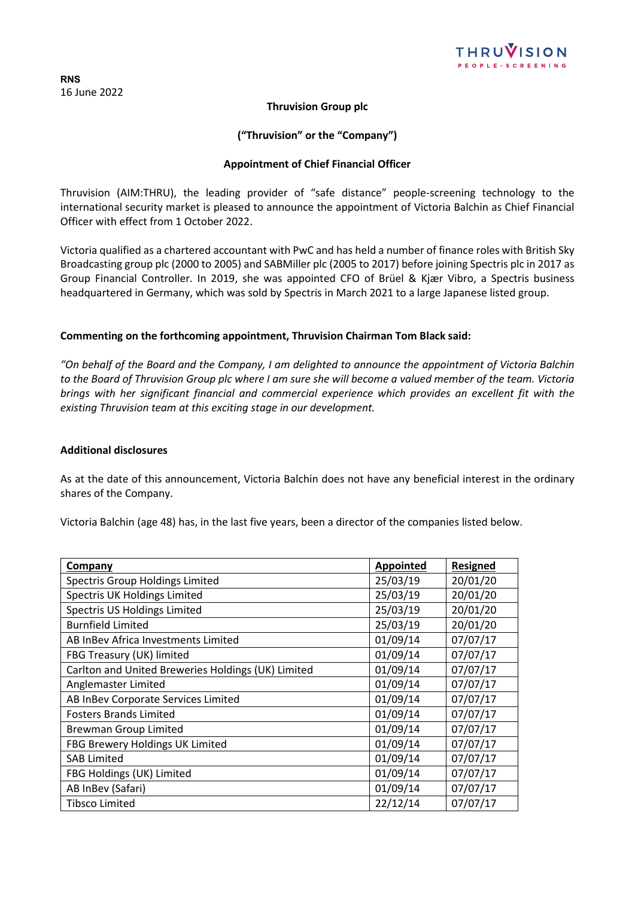

**RNS** 16 June 2022

# **Thruvision Group plc**

# **("Thruvision" or the "Company")**

## **Appointment of Chief Financial Officer**

Thruvision (AIM:THRU), the leading provider of "safe distance" people-screening technology to the international security market is pleased to announce the appointment of Victoria Balchin as Chief Financial Officer with effect from 1 October 2022.

Victoria qualified as a chartered accountant with PwC and has held a number of finance roles with British Sky Broadcasting group plc (2000 to 2005) and SABMiller plc (2005 to 2017) before joining Spectris plc in 2017 as Group Financial Controller. In 2019, she was appointed CFO of Brüel & Kjær Vibro, a Spectris business headquartered in Germany, which was sold by Spectris in March 2021 to a large Japanese listed group.

#### **Commenting on the forthcoming appointment, Thruvision Chairman Tom Black said:**

*"On behalf of the Board and the Company, I am delighted to announce the appointment of Victoria Balchin to the Board of Thruvision Group plc where I am sure she will become a valued member of the team. Victoria brings with her significant financial and commercial experience which provides an excellent fit with the existing Thruvision team at this exciting stage in our development.*

#### **Additional disclosures**

As at the date of this announcement, Victoria Balchin does not have any beneficial interest in the ordinary shares of the Company.

Victoria Balchin (age 48) has, in the last five years, been a director of the companies listed below.

| <b>Company</b>                                     | Appointed | <b>Resigned</b> |
|----------------------------------------------------|-----------|-----------------|
| Spectris Group Holdings Limited                    | 25/03/19  | 20/01/20        |
| Spectris UK Holdings Limited                       | 25/03/19  | 20/01/20        |
| Spectris US Holdings Limited                       | 25/03/19  | 20/01/20        |
| <b>Burnfield Limited</b>                           | 25/03/19  | 20/01/20        |
| AB InBev Africa Investments Limited                | 01/09/14  | 07/07/17        |
| FBG Treasury (UK) limited                          | 01/09/14  | 07/07/17        |
| Carlton and United Breweries Holdings (UK) Limited | 01/09/14  | 07/07/17        |
| Anglemaster Limited                                | 01/09/14  | 07/07/17        |
| AB InBev Corporate Services Limited                | 01/09/14  | 07/07/17        |
| <b>Fosters Brands Limited</b>                      | 01/09/14  | 07/07/17        |
| <b>Brewman Group Limited</b>                       | 01/09/14  | 07/07/17        |
| FBG Brewery Holdings UK Limited                    | 01/09/14  | 07/07/17        |
| <b>SAB Limited</b>                                 | 01/09/14  | 07/07/17        |
| FBG Holdings (UK) Limited                          | 01/09/14  | 07/07/17        |
| AB InBev (Safari)                                  | 01/09/14  | 07/07/17        |
| Tibsco Limited                                     | 22/12/14  | 07/07/17        |